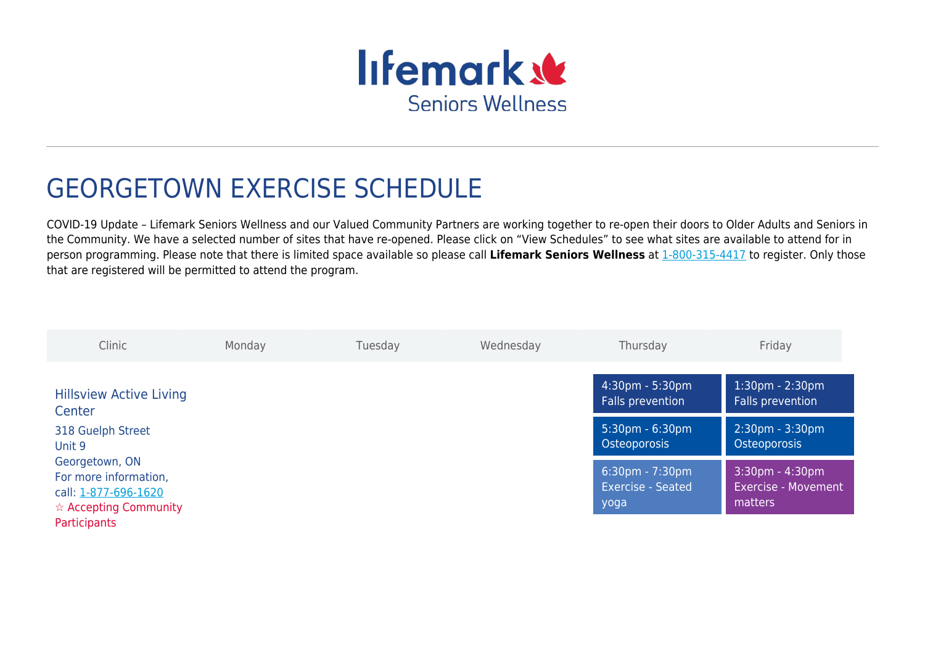

## GEORGETOWN EXERCISE SCHEDULE

COVID-19 Update – Lifemark Seniors Wellness and our Valued Community Partners are working together to re-open their doors to Older Adults and Seniors in the Community. We have a selected number of sites that have re-opened. Please click on "View Schedules" to see what sites are available to attend for in person programming. Please note that there is limited space available so please call **Lifemark Seniors Wellness** at [1-800-315-4417](#page--1-0) to register. Only those that are registered will be permitted to attend the program.

| Clinic                                                                                                    | Monday | Tuesday | Wednesday | Thursday                                                              | Friday                                                      |
|-----------------------------------------------------------------------------------------------------------|--------|---------|-----------|-----------------------------------------------------------------------|-------------------------------------------------------------|
| <b>Hillsview Active Living</b><br>Center                                                                  |        |         |           | $4:30 \text{pm} - 5:30 \text{pm}$<br>Falls prevention                 | $1:30 \text{pm} - 2:30 \text{pm}$<br>Falls prevention       |
| 318 Guelph Street<br>Unit 9                                                                               |        |         |           | 5:30pm - 6:30pm<br>Osteoporosis                                       | 2:30pm - 3:30pm<br>Osteoporosis                             |
| Georgetown, ON<br>For more information,<br>call: 1-877-696-1620<br>$\hat{\mathbf{x}}$ Accepting Community |        |         |           | $6:30 \text{pm} - 7:30 \text{pm}$<br><b>Exercise - Seated</b><br>yoga | $3:30$ pm - 4:30pm<br><b>Exercise - Movement</b><br>matters |
| <b>Participants</b>                                                                                       |        |         |           |                                                                       |                                                             |